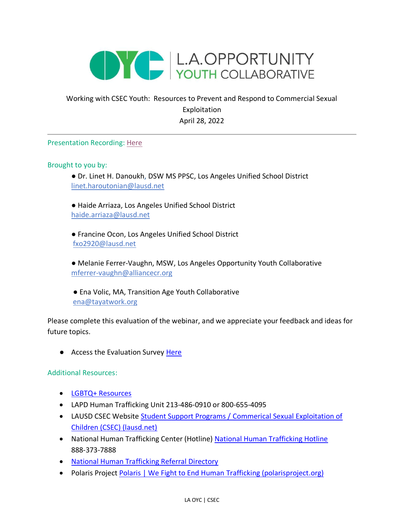

## Working with CSEC Youth: Resources to Prevent and Respond to Commercial Sexual Exploitation April 28, 2022

## Presentation Recording: [Here](https://drive.google.com/file/d/17hgDHXkN6xN_OCoN7HNIz8juv9xh9Xzn/view?usp=sharing)

Brought to you by:

● Dr. Linet H. Danoukh, DSW MS PPSC, Los Angeles Unified School District linet.haroutonian@lausd.net

● Haide Arriaza, Los Angeles Unified School District [haide.arriaza@lausd.net](mailto:haide.arriaza@lausd.net)

● Francine Ocon, Los Angeles Unified School District fxo2920@lausd.net

● Melanie Ferrer-Vaughn, MSW, Los Angeles Opportunity Youth Collaborative mferrer-vaughn@alliancecr.org

● Ena Volic, MA, Transition Age Youth Collaborative [ena@tayatwork.org](mailto:ena@tayatwork.org)

Please complete this evaluation of the webinar, and we appreciate your feedback and ideas for future topics.

● Access the Evaluation Survey [Here](https://docs.google.com/forms/d/e/1FAIpQLSd8d0xau0lRV4CTgnhDZ2vkx2NlRDGxCsvnWn4X9M2Ugl9aRg/viewform)

Additional Resources:

- [LGBTQ+ Resources](https://drive.google.com/file/d/1wJqEUptnQDMkKA8d50tawHE7RMU423Uk/view?usp=sharing)
- LAPD Human Trafficking Unit 213-486-0910 or 800-655-4095
- LAUSD CSEC Website [Student Support Programs / Commerical Sexual Exploitation of](https://achieve.lausd.net/Page/14386#spn-content)  [Children \(CSEC\) \(lausd.net\)](https://achieve.lausd.net/Page/14386#spn-content)
- National Human Trafficking Center (Hotline) [National Human Trafficking Hotline](https://humantraffickinghotline.org/) 888-373-7888
- [National Human Trafficking Referral Directory](https://humantraffickinghotline.org/training-resources/referral-directory)
- Polaris Projec[t Polaris | We Fight to End Human Trafficking \(polarisproject.org\)](https://polarisproject.org/)